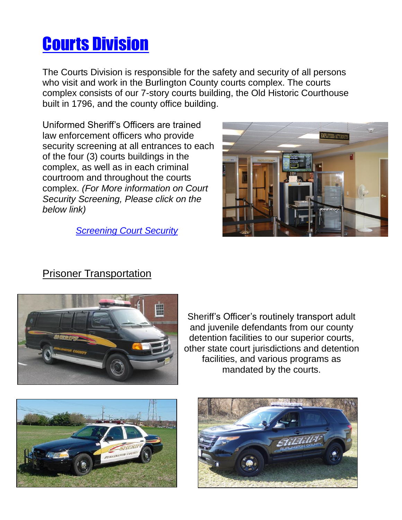# Courts Division

The Courts Division is responsible for the safety and security of all persons who visit and work in the Burlington County courts complex. The courts complex consists of our 7-story courts building, the Old Historic Courthouse built in 1796, and the county office building.

Uniformed Sheriff's Officers are trained law enforcement officers who provide security screening at all entrances to each of the four (3) courts buildings in the complex, as well as in each criminal courtroom and throughout the courts complex. *(For More information on Court Security Screening, Please click on the below link)*

 *[Screening Court Security](file:///C:/Users/shabarcl/Desktop/Courthouse%20Security.pdf)*



## Prisoner Transportation



Sheriff's Officer's routinely transport adult and juvenile defendants from our county detention facilities to our superior courts, other state court jurisdictions and detention facilities, and various programs as mandated by the courts.